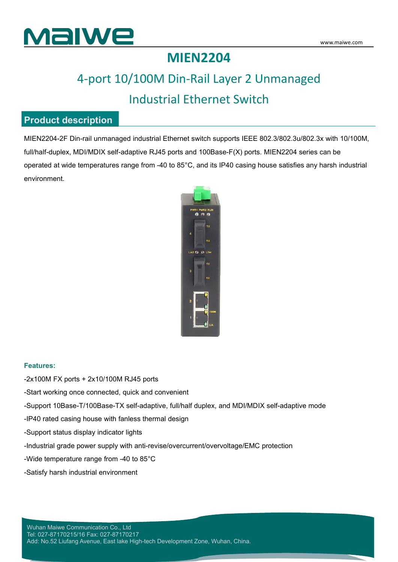

## **MIEN2204**

## 4-port 10/100M Din-Rail Layer 2 Unmanaged Industrial Ethernet Switch

#### **Product description**

MIEN2204-2F Din-rail unmanaged industrial Ethernet switch supports IEEE 802.3/802.3u/802.3x with 10/100M, full/half-duplex, MDI/MDIX self-adaptive RJ45 ports and 100Base-F(X) ports. MIEN2204 series can be operated at wide temperatures range from -40 to 85°C, and its IP40 casing house satisfies any harsh industrial environment.



#### **Features:**

-2x100M FX ports + 2x10/100M RJ45 ports

-Start working once connected, quick and convenient

-Support 10Base-T/100Base-TX self-adaptive, full/half duplex, and MDI/MDIX self-adaptive mode

-IP40 rated casing house with fanless thermal design

-Support status display indicator lights

-Industrial grade power supply with anti-revise/overcurrent/overvoltage/EMC protection

-Wide temperature range from -40 to 85°C

-Satisfy harsh industrial environment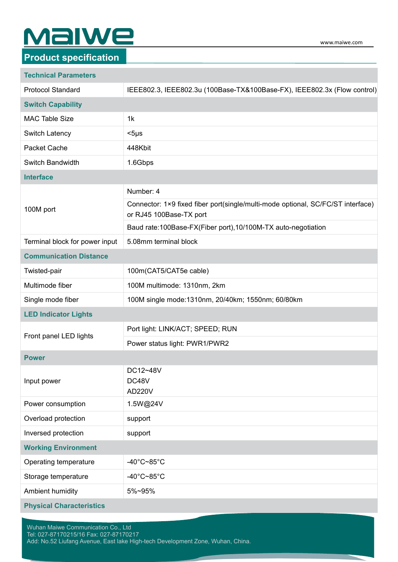# **MalWe**

### **Product specification**

#### **Technical Parameters**

| <b>Protocol Standard</b>        | IEEE802.3, IEEE802.3u (100Base-TX&100Base-FX), IEEE802.3x (Flow control)                                   |
|---------------------------------|------------------------------------------------------------------------------------------------------------|
| <b>Switch Capability</b>        |                                                                                                            |
| <b>MAC Table Size</b>           | 1k                                                                                                         |
| Switch Latency                  | $<$ 5µs                                                                                                    |
| Packet Cache                    | 448Kbit                                                                                                    |
| Switch Bandwidth                | 1.6Gbps                                                                                                    |
| <b>Interface</b>                |                                                                                                            |
| 100M port                       | Number: 4                                                                                                  |
|                                 | Connector: 1×9 fixed fiber port(single/multi-mode optional, SC/FC/ST interface)<br>or RJ45 100Base-TX port |
|                                 | Baud rate:100Base-FX(Fiber port),10/100M-TX auto-negotiation                                               |
| Terminal block for power input  | 5.08mm terminal block                                                                                      |
| <b>Communication Distance</b>   |                                                                                                            |
| Twisted-pair                    | 100m(CAT5/CAT5e cable)                                                                                     |
| Multimode fiber                 | 100M multimode: 1310nm, 2km                                                                                |
| Single mode fiber               | 100M single mode: 1310nm, 20/40km; 1550nm; 60/80km                                                         |
| <b>LED Indicator Lights</b>     |                                                                                                            |
|                                 | Port light: LINK/ACT; SPEED; RUN                                                                           |
| Front panel LED lights          | Power status light: PWR1/PWR2                                                                              |
| <b>Power</b>                    |                                                                                                            |
| Input power                     | DC12~48V<br>DC48V<br><b>AD220V</b>                                                                         |
| Power consumption               | 1.5W@24V                                                                                                   |
| Overload protection             | support                                                                                                    |
| Inversed protection             | support                                                                                                    |
| <b>Working Environment</b>      |                                                                                                            |
| Operating temperature           | -40°C~85°C                                                                                                 |
| Storage temperature             | -40 $^{\circ}$ C~85 $^{\circ}$ C                                                                           |
| Ambient humidity                | 5%~95%                                                                                                     |
| <b>Physical Characteristics</b> |                                                                                                            |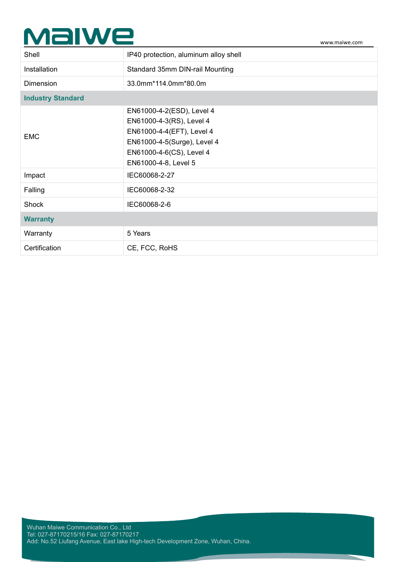# Malwe

| Standard 35mm DIN-rail Mounting<br>Installation<br>33.0mm*114.0mm*80.0m<br>Dimension<br><b>Industry Standard</b><br>EN61000-4-2(ESD), Level 4<br>EN61000-4-3(RS), Level 4<br>EN61000-4-4(EFT), Level 4<br><b>EMC</b><br>EN61000-4-5(Surge), Level 4<br>EN61000-4-6(CS), Level 4<br>EN61000-4-8, Level 5<br>IEC60068-2-27<br>Impact<br>IEC60068-2-32<br>Falling<br>IEC60068-2-6<br>Shock<br><b>Warranty</b><br>Warranty<br>5 Years<br>Certification<br>CE, FCC, RoHS | Shell | IP40 protection, aluminum alloy shell |
|---------------------------------------------------------------------------------------------------------------------------------------------------------------------------------------------------------------------------------------------------------------------------------------------------------------------------------------------------------------------------------------------------------------------------------------------------------------------|-------|---------------------------------------|
|                                                                                                                                                                                                                                                                                                                                                                                                                                                                     |       |                                       |
|                                                                                                                                                                                                                                                                                                                                                                                                                                                                     |       |                                       |
|                                                                                                                                                                                                                                                                                                                                                                                                                                                                     |       |                                       |
|                                                                                                                                                                                                                                                                                                                                                                                                                                                                     |       |                                       |
|                                                                                                                                                                                                                                                                                                                                                                                                                                                                     |       |                                       |
|                                                                                                                                                                                                                                                                                                                                                                                                                                                                     |       |                                       |
|                                                                                                                                                                                                                                                                                                                                                                                                                                                                     |       |                                       |
|                                                                                                                                                                                                                                                                                                                                                                                                                                                                     |       |                                       |
|                                                                                                                                                                                                                                                                                                                                                                                                                                                                     |       |                                       |
|                                                                                                                                                                                                                                                                                                                                                                                                                                                                     |       |                                       |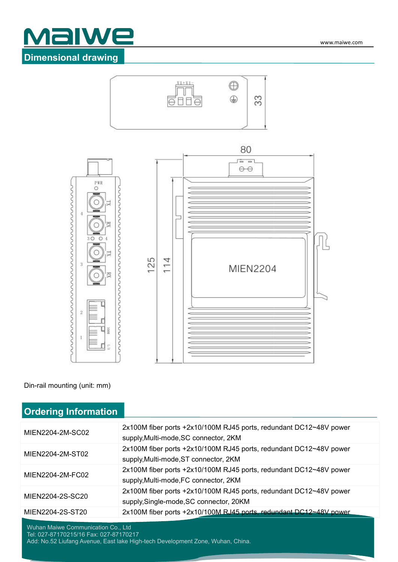#### www.maiwe.com

## Malwe **Dimensional drawing**







Din-rail mounting (unit: mm)

### **Ordering Information**

| MIEN2204-2M-SC02 | 2x100M fiber ports +2x10/100M RJ45 ports, redundant DC12~48V power<br>supply, Multi-mode, SC connector, 2KM   |
|------------------|---------------------------------------------------------------------------------------------------------------|
| MIEN2204-2M-ST02 | 2x100M fiber ports +2x10/100M RJ45 ports, redundant DC12~48V power<br>supply, Multi-mode, ST connector, 2KM   |
| MIEN2204-2M-FC02 | 2x100M fiber ports +2x10/100M RJ45 ports, redundant DC12~48V power<br>supply, Multi-mode, FC connector, 2KM   |
| MIEN2204-2S-SC20 | 2x100M fiber ports +2x10/100M RJ45 ports, redundant DC12~48V power<br>supply, Single-mode, SC connector, 20KM |
| MIEN2204-2S-ST20 | 2x100M fiber ports +2x10/100M RJ45 ports, redundant DC12~48V power                                            |

Wuhan Maiwe Communication Co., Ltd

Tel: 027-87170215/16 Fax: 027-87170217 Add: No.52 Liufang Avenue, East lake High-tech Development Zone, Wuhan, China.